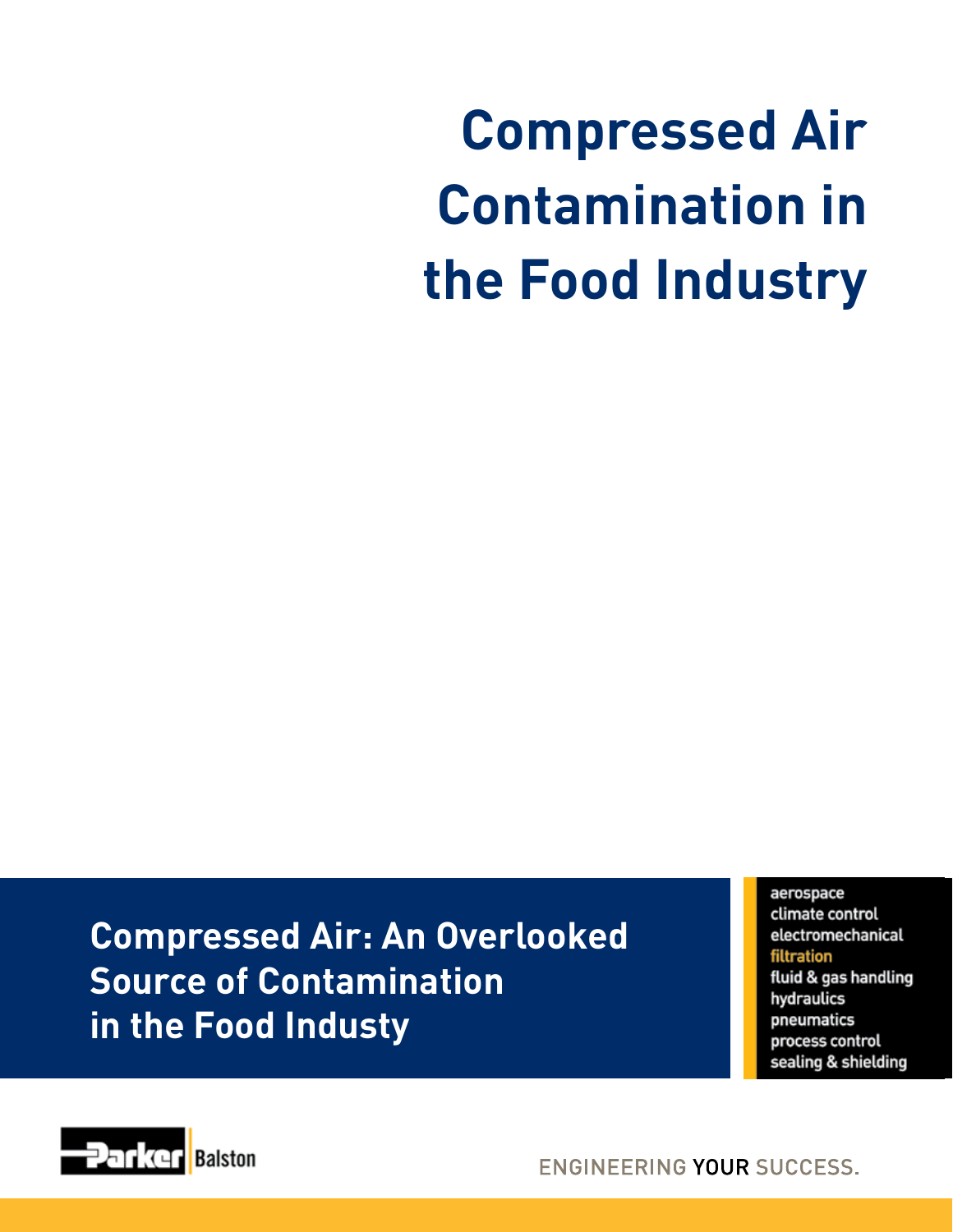## **Compressed Air Contamination in the Food Industry**

**Compressed Air: An Overlooked Source of Contamination in the Food Industy**

aerospace climate control electromechanical filtration fluid & gas handling hydraulics pneumatics process control sealing & shielding



**ENGINEERING YOUR SUCCESS.**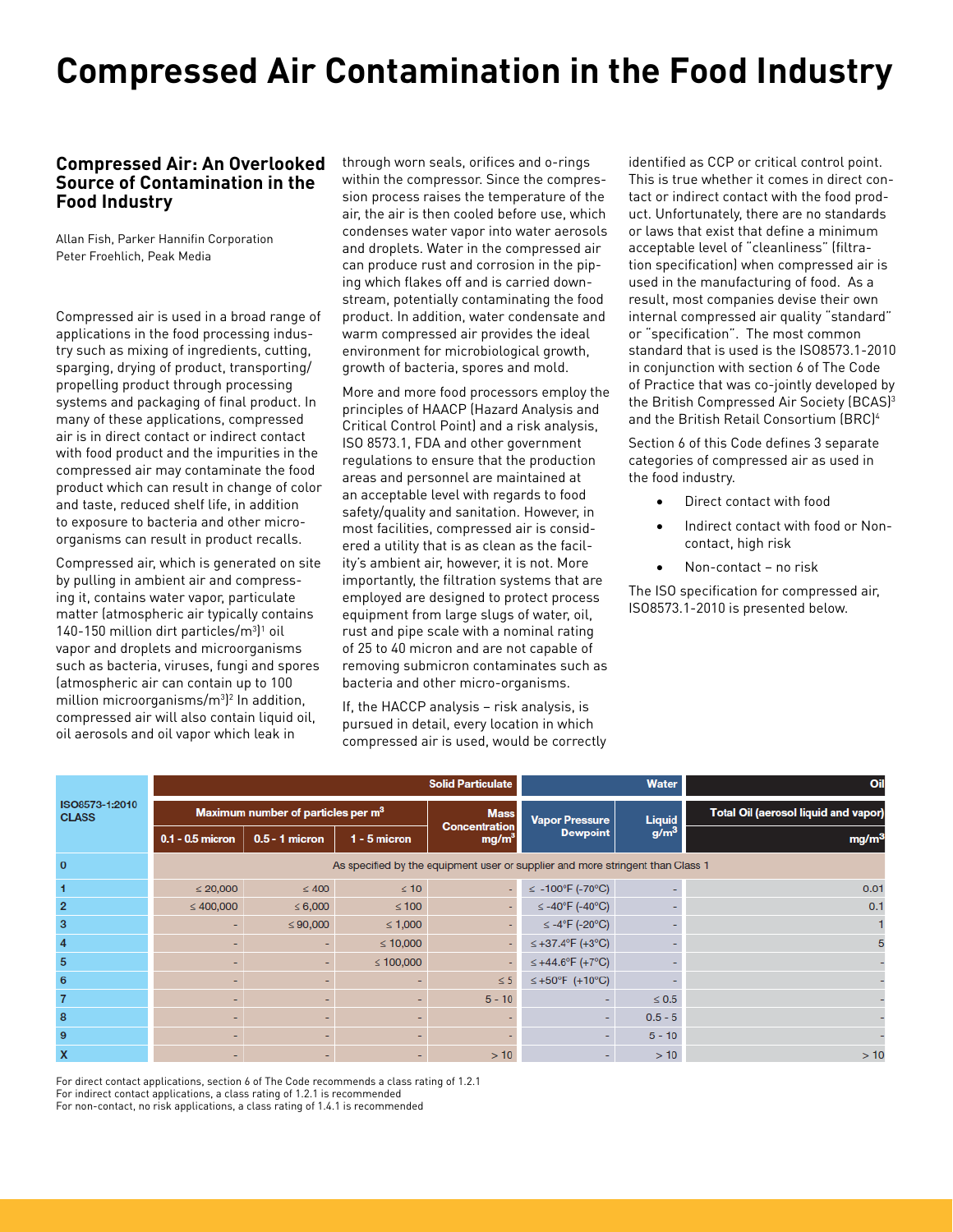## **Compressed Air Contamination in the Food Industry**

## **Compressed Air: An Overlooked Source of Contamination in the Food Industry**

Allan Fish, Parker Hannifin Corporation Peter Froehlich, Peak Media

Compressed air is used in a broad range of applications in the food processing industry such as mixing of ingredients, cutting, sparging, drying of product, transporting/ propelling product through processing systems and packaging of final product. In many of these applications, compressed air is in direct contact or indirect contact with food product and the impurities in the compressed air may contaminate the food product which can result in change of color and taste, reduced shelf life, in addition to exposure to bacteria and other microorganisms can result in product recalls.

Compressed air, which is generated on site by pulling in ambient air and compressing it, contains water vapor, particulate matter (atmospheric air typically contains  $140-150$  million dirt particles/m<sup>3</sup>]<sup>1</sup> oil vapor and droplets and microorganisms such as bacteria, viruses, fungi and spores (atmospheric air can contain up to 100 million microorganisms/m3 ) <sup>2</sup> In addition, compressed air will also contain liquid oil, oil aerosols and oil vapor which leak in

through worn seals, orifices and o-rings within the compressor. Since the compression process raises the temperature of the air, the air is then cooled before use, which condenses water vapor into water aerosols and droplets. Water in the compressed air can produce rust and corrosion in the piping which flakes off and is carried downstream, potentially contaminating the food product. In addition, water condensate and warm compressed air provides the ideal environment for microbiological growth, growth of bacteria, spores and mold.

More and more food processors employ the principles of HAACP (Hazard Analysis and Critical Control Point) and a risk analysis, ISO 8573.1, FDA and other government regulations to ensure that the production areas and personnel are maintained at an acceptable level with regards to food safety/quality and sanitation. However, in most facilities, compressed air is considered a utility that is as clean as the facility's ambient air, however, it is not. More importantly, the filtration systems that are employed are designed to protect process equipment from large slugs of water, oil, rust and pipe scale with a nominal rating of 25 to 40 micron and are not capable of removing submicron contaminates such as bacteria and other micro-organisms.

If, the HACCP analysis – risk analysis, is pursued in detail, every location in which compressed air is used, would be correctly identified as CCP or critical control point. This is true whether it comes in direct contact or indirect contact with the food product. Unfortunately, there are no standards or laws that exist that define a minimum acceptable level of "cleanliness" (filtration specification) when compressed air is used in the manufacturing of food. As a result, most companies devise their own internal compressed air quality "standard" or "specification". The most common standard that is used is the ISO8573.1-2010 in conjunction with section 6 of The Code of Practice that was co-jointly developed by the British Compressed Air Society (BCAS)<sup>3</sup> and the British Retail Consortium (BRC)4

Section 6 of this Code defines 3 separate categories of compressed air as used in the food industry.

- Direct contact with food
- Indirect contact with food or Noncontact, high risk
- Non-contact no risk

The ISO specification for compressed air, ISO8573.1-2010 is presented below.

| ISO8573-1:2010<br><b>CLASS</b> | <b>Solid Particulate</b>                                                       |                  |                |                                           | <b>Water</b>                                  |                  | Oil                                         |
|--------------------------------|--------------------------------------------------------------------------------|------------------|----------------|-------------------------------------------|-----------------------------------------------|------------------|---------------------------------------------|
|                                | Maximum number of particles per m <sup>3</sup>                                 |                  |                | <b>Mass</b>                               | <b>Vapor Pressure</b>                         | <b>Liquid</b>    | <b>Total Oil (aerosol liquid and vapor)</b> |
|                                | $0.1 - 0.5$ micron                                                             | $0.5 - 1$ micron | $1 - 5$ micron | <b>Concentration</b><br>mg/m <sup>3</sup> | <b>Dewpoint</b>                               | g/m <sup>3</sup> | mg/m <sup>3</sup>                           |
| $\mathbf{0}$                   | As specified by the equipment user or supplier and more stringent than Class 1 |                  |                |                                           |                                               |                  |                                             |
|                                | $\leq 20,000$                                                                  | $\leq 400$       | $\leq 10$      |                                           | ≤ -100°F (-70°C)                              |                  | 0.01                                        |
| $\overline{2}$                 | $\leq 400,000$                                                                 | $\leq 6,000$     | $\leq 100$     |                                           | $\leq$ -40°F (-40°C)                          |                  | 0.1                                         |
| 3                              |                                                                                | $\leq 90,000$    | $\leq 1,000$   |                                           | $\leq -4$ <sup>o</sup> F (-20 <sup>o</sup> C) |                  |                                             |
| 4                              |                                                                                |                  | $\leq 10,000$  |                                           | ≤ +37.4°F (+3°C)                              |                  | 5                                           |
| 5                              |                                                                                |                  | $\leq 100,000$ |                                           | ≤ +44.6°F (+7°C)                              |                  |                                             |
| 6                              |                                                                                |                  |                | $\leq$ 5                                  | ≤ +50°F (+10°C)                               |                  |                                             |
| 7                              |                                                                                | -                |                | $5 - 10$                                  |                                               | $\leq 0.5$       | ۰                                           |
| 8                              |                                                                                |                  |                |                                           |                                               | $0.5 - 5$        |                                             |
| 9                              |                                                                                |                  |                |                                           |                                               | $5 - 10$         |                                             |
| X                              |                                                                                |                  |                | >10                                       |                                               | >10              | >10                                         |

For direct contact applications, section 6 of The Code recommends a class rating of 1.2.1 For indirect contact applications, a class rating of 1.2.1 is recommended For non-contact, no risk applications, a class rating of 1.4.1 is recommended